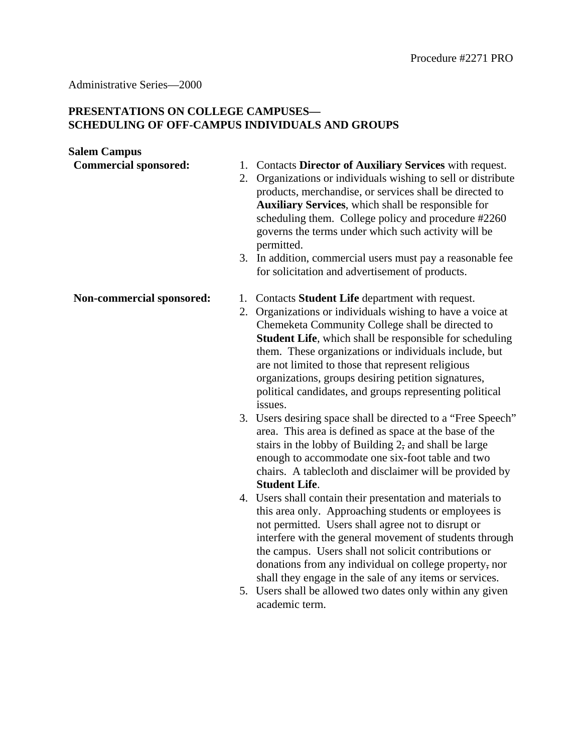## Administrative Series—2000

## **PRESENTATIONS ON COLLEGE CAMPUSES— SCHEDULING OF OFF-CAMPUS INDIVIDUALS AND GROUPS**

## **Salem Campus**

| <b>Commercial sponsored:</b> | 1. Contacts Director of Auxiliary Services with request.          |
|------------------------------|-------------------------------------------------------------------|
|                              | Organizations or individuals wishing to sell or distribute<br>2.  |
|                              | products, merchandise, or services shall be directed to           |
|                              | <b>Auxiliary Services</b> , which shall be responsible for        |
|                              | scheduling them. College policy and procedure #2260               |
|                              | governs the terms under which such activity will be<br>permitted. |
|                              | 3. In addition, commercial users must pay a reasonable fee        |
|                              | for solicitation and advertisement of products.                   |
| Non-commercial sponsored:    | 1. Contacts <b>Student Life</b> department with request.          |
|                              | 2. Organizations or individuals wishing to have a voice at        |
|                              | Chemeketa Community College shall be directed to                  |
|                              | <b>Student Life,</b> which shall be responsible for scheduling    |
|                              | them. These organizations or individuals include, but             |
|                              | are not limited to those that represent religious                 |
|                              | organizations, groups desiring petition signatures,               |
|                              | political candidates, and groups representing political           |

- issues. 3. Users desiring space shall be directed to a "Free Speech" area. This area is defined as space at the base of the stairs in the lobby of Building 2, and shall be large enough to accommodate one six-foot table and two chairs. A tablecloth and disclaimer will be provided by **Student Life**.
- 4. Users shall contain their presentation and materials to this area only. Approaching students or employees is not permitted. Users shall agree not to disrupt or interfere with the general movement of students through the campus. Users shall not solicit contributions or donations from any individual on college property, nor shall they engage in the sale of any items or services.
- 5. Users shall be allowed two dates only within any given academic term.